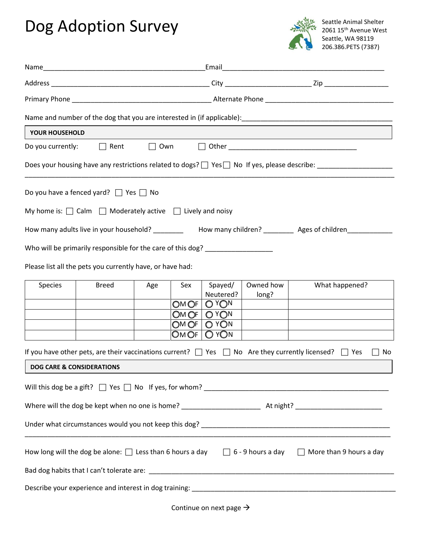## Dog Adoption Survey



| YOUR HOUSEHOLD                                                                                                     |                                                                                  |     |              |                                                       |                    |                                                                                                                                       |  |  |
|--------------------------------------------------------------------------------------------------------------------|----------------------------------------------------------------------------------|-----|--------------|-------------------------------------------------------|--------------------|---------------------------------------------------------------------------------------------------------------------------------------|--|--|
| Do you currently:                                                                                                  | $\Box$ Rent                                                                      |     |              |                                                       |                    | $\Box$ Own $\Box$ Other                                                                                                               |  |  |
| Does your housing have any restrictions related to dogs? $\Box$ Yes $\Box$ No If yes, please describe: ___________ |                                                                                  |     |              |                                                       |                    |                                                                                                                                       |  |  |
|                                                                                                                    | Do you have a fenced yard? $\Box$ Yes $\Box$ No                                  |     |              |                                                       |                    |                                                                                                                                       |  |  |
|                                                                                                                    | My home is: $\Box$ Calm $\Box$ Moderately active $\Box$ Lively and noisy         |     |              |                                                       |                    |                                                                                                                                       |  |  |
| How many adults live in your household? __________ How many children? __________ Ages of children_________         |                                                                                  |     |              |                                                       |                    |                                                                                                                                       |  |  |
|                                                                                                                    | Who will be primarily responsible for the care of this dog? ____________________ |     |              |                                                       |                    |                                                                                                                                       |  |  |
|                                                                                                                    | Please list all the pets you currently have, or have had:                        |     |              |                                                       |                    |                                                                                                                                       |  |  |
| Species                                                                                                            | <b>Breed</b>                                                                     | Age | Sex<br>OMOF  | Spayed/<br>Neutered?<br>O <sub>Y</sub> O <sub>N</sub> | Owned how<br>long? | What happened?                                                                                                                        |  |  |
|                                                                                                                    |                                                                                  |     | OMOF<br>OMOF | OYON<br>O YON                                         |                    |                                                                                                                                       |  |  |
|                                                                                                                    |                                                                                  |     | OM OF        | O YON                                                 |                    |                                                                                                                                       |  |  |
|                                                                                                                    |                                                                                  |     |              |                                                       |                    | If you have other pets, are their vaccinations current? $\Box$ Yes $\Box$ No Are they currently licensed? $\Box$ Yes<br>No<br>$\perp$ |  |  |
| <b>DOG CARE &amp; CONSIDERATIONS</b>                                                                               |                                                                                  |     |              |                                                       |                    |                                                                                                                                       |  |  |
|                                                                                                                    |                                                                                  |     |              |                                                       |                    |                                                                                                                                       |  |  |
|                                                                                                                    |                                                                                  |     |              |                                                       |                    |                                                                                                                                       |  |  |
|                                                                                                                    |                                                                                  |     |              |                                                       |                    |                                                                                                                                       |  |  |
|                                                                                                                    |                                                                                  |     |              |                                                       |                    |                                                                                                                                       |  |  |
|                                                                                                                    |                                                                                  |     |              |                                                       |                    | How long will the dog be alone: $\Box$ Less than 6 hours a day $\Box$ 6 - 9 hours a day $\Box$ More than 9 hours a day                |  |  |
|                                                                                                                    |                                                                                  |     |              |                                                       |                    |                                                                                                                                       |  |  |
|                                                                                                                    |                                                                                  |     |              |                                                       |                    |                                                                                                                                       |  |  |